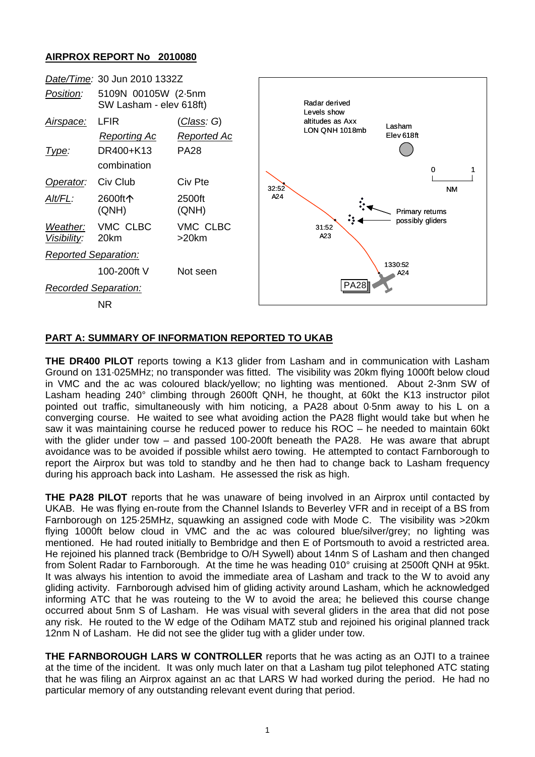## **AIRPROX REPORT No 2010080**



## **PART A: SUMMARY OF INFORMATION REPORTED TO UKAB**

**THE DR400 PILOT** reports towing a K13 glider from Lasham and in communication with Lasham Ground on 131·025MHz; no transponder was fitted. The visibility was 20km flying 1000ft below cloud in VMC and the ac was coloured black/yellow; no lighting was mentioned. About 2-3nm SW of Lasham heading 240° climbing through 2600ft QNH, he thought, at 60kt the K13 instructor pilot pointed out traffic, simultaneously with him noticing, a PA28 about 0·5nm away to his L on a converging course. He waited to see what avoiding action the PA28 flight would take but when he saw it was maintaining course he reduced power to reduce his ROC – he needed to maintain 60kt with the glider under tow – and passed 100-200ft beneath the PA28. He was aware that abrupt avoidance was to be avoided if possible whilst aero towing. He attempted to contact Farnborough to report the Airprox but was told to standby and he then had to change back to Lasham frequency during his approach back into Lasham. He assessed the risk as high.

**THE PA28 PILOT** reports that he was unaware of being involved in an Airprox until contacted by UKAB. He was flying en-route from the Channel Islands to Beverley VFR and in receipt of a BS from Farnborough on 125·25MHz, squawking an assigned code with Mode C. The visibility was >20km flying 1000ft below cloud in VMC and the ac was coloured blue/silver/grey; no lighting was mentioned. He had routed initially to Bembridge and then E of Portsmouth to avoid a restricted area. He rejoined his planned track (Bembridge to O/H Sywell) about 14nm S of Lasham and then changed from Solent Radar to Farnborough. At the time he was heading 010° cruising at 2500ft QNH at 95kt. It was always his intention to avoid the immediate area of Lasham and track to the W to avoid any gliding activity. Farnborough advised him of gliding activity around Lasham, which he acknowledged informing ATC that he was routeing to the W to avoid the area; he believed this course change occurred about 5nm S of Lasham. He was visual with several gliders in the area that did not pose any risk. He routed to the W edge of the Odiham MATZ stub and rejoined his original planned track 12nm N of Lasham. He did not see the glider tug with a glider under tow.

**THE FARNBOROUGH LARS W CONTROLLER** reports that he was acting as an OJTI to a trainee at the time of the incident. It was only much later on that a Lasham tug pilot telephoned ATC stating that he was filing an Airprox against an ac that LARS W had worked during the period. He had no particular memory of any outstanding relevant event during that period.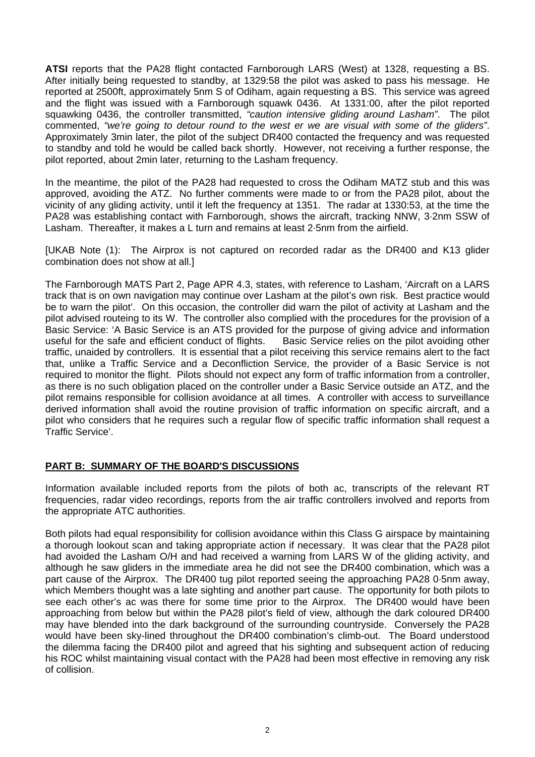**ATSI** reports that the PA28 flight contacted Farnborough LARS (West) at 1328, requesting a BS. After initially being requested to standby, at 1329:58 the pilot was asked to pass his message. He reported at 2500ft, approximately 5nm S of Odiham, again requesting a BS. This service was agreed and the flight was issued with a Farnborough squawk 0436. At 1331:00, after the pilot reported squawking 0436, the controller transmitted, *"caution intensive gliding around Lasham"*. The pilot commented, *"we're going to detour round to the west er we are visual with some of the gliders"*. Approximately 3min later, the pilot of the subject DR400 contacted the frequency and was requested to standby and told he would be called back shortly. However, not receiving a further response, the pilot reported, about 2min later, returning to the Lasham frequency.

In the meantime, the pilot of the PA28 had requested to cross the Odiham MATZ stub and this was approved, avoiding the ATZ. No further comments were made to or from the PA28 pilot, about the vicinity of any gliding activity, until it left the frequency at 1351. The radar at 1330:53, at the time the PA28 was establishing contact with Farnborough, shows the aircraft, tracking NNW, 3·2nm SSW of Lasham. Thereafter, it makes a L turn and remains at least 2·5nm from the airfield.

[UKAB Note (1): The Airprox is not captured on recorded radar as the DR400 and K13 glider combination does not show at all.]

The Farnborough MATS Part 2, Page APR 4.3, states, with reference to Lasham, 'Aircraft on a LARS track that is on own navigation may continue over Lasham at the pilot's own risk. Best practice would be to warn the pilot'. On this occasion, the controller did warn the pilot of activity at Lasham and the pilot advised routeing to its W. The controller also complied with the procedures for the provision of a Basic Service: 'A Basic Service is an ATS provided for the purpose of giving advice and information useful for the safe and efficient conduct of flights. Basic Service relies on the pilot avoiding other traffic, unaided by controllers. It is essential that a pilot receiving this service remains alert to the fact that, unlike a Traffic Service and a Deconfliction Service, the provider of a Basic Service is not required to monitor the flight. Pilots should not expect any form of traffic information from a controller, as there is no such obligation placed on the controller under a Basic Service outside an ATZ, and the pilot remains responsible for collision avoidance at all times. A controller with access to surveillance derived information shall avoid the routine provision of traffic information on specific aircraft, and a pilot who considers that he requires such a regular flow of specific traffic information shall request a Traffic Service'.

## **PART B: SUMMARY OF THE BOARD'S DISCUSSIONS**

Information available included reports from the pilots of both ac, transcripts of the relevant RT frequencies, radar video recordings, reports from the air traffic controllers involved and reports from the appropriate ATC authorities.

Both pilots had equal responsibility for collision avoidance within this Class G airspace by maintaining a thorough lookout scan and taking appropriate action if necessary. It was clear that the PA28 pilot had avoided the Lasham O/H and had received a warning from LARS W of the gliding activity, and although he saw gliders in the immediate area he did not see the DR400 combination, which was a part cause of the Airprox. The DR400 tug pilot reported seeing the approaching PA28 0·5nm away, which Members thought was a late sighting and another part cause. The opportunity for both pilots to see each other's ac was there for some time prior to the Airprox. The DR400 would have been approaching from below but within the PA28 pilot's field of view, although the dark coloured DR400 may have blended into the dark background of the surrounding countryside. Conversely the PA28 would have been sky-lined throughout the DR400 combination's climb-out. The Board understood the dilemma facing the DR400 pilot and agreed that his sighting and subsequent action of reducing his ROC whilst maintaining visual contact with the PA28 had been most effective in removing any risk of collision.